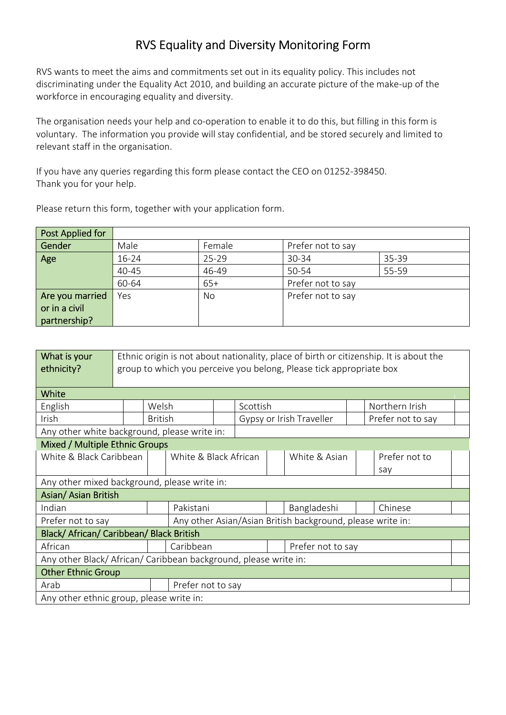## **RVS Equality and Diversity Monitoring Form**

RVS wants to meet the aims and commitments set out in its equality policy. This includes not discriminating under the Equality Act 2010, and building an accurate picture of the make-up of the workforce in encouraging equality and diversity.

The organisation needs your help and co-operation to enable it to do this, but filling in this form is voluntary. The information you provide will stay confidential, and be stored securely and limited to relevant staff in the organisation.

If you have any queries regarding this form please contact the CEO on 01252-398450. Thank you for your help.

Please return this form, together with your application form.

| Post Applied for |       |           |                   |       |
|------------------|-------|-----------|-------------------|-------|
| Gender           | Male  | Female    | Prefer not to say |       |
| Age              | 16-24 | $25 - 29$ | 30-34             | 35-39 |
|                  | 40-45 | 46-49     | 50-54             | 55-59 |
|                  | 60-64 | $65+$     | Prefer not to say |       |
| Are you married  | Yes   | No        | Prefer not to say |       |
| or in a civil    |       |           |                   |       |
| partnership?     |       |           |                   |       |

| What is your                                                   | Ethnic origin is not about nationality, place of birth or citizenship. It is about the |                |                       |          |                          |  |                |     |                   |  |
|----------------------------------------------------------------|----------------------------------------------------------------------------------------|----------------|-----------------------|----------|--------------------------|--|----------------|-----|-------------------|--|
| ethnicity?                                                     | group to which you perceive you belong, Please tick appropriate box                    |                |                       |          |                          |  |                |     |                   |  |
|                                                                |                                                                                        |                |                       |          |                          |  |                |     |                   |  |
| White                                                          |                                                                                        |                |                       |          |                          |  |                |     |                   |  |
| English                                                        | Welsh                                                                                  |                |                       | Scottish |                          |  | Northern Irish |     |                   |  |
| Irish                                                          |                                                                                        | <b>British</b> |                       |          | Gypsy or Irish Traveller |  |                |     | Prefer not to say |  |
| Any other white background, please write in:                   |                                                                                        |                |                       |          |                          |  |                |     |                   |  |
| Mixed / Multiple Ethnic Groups                                 |                                                                                        |                |                       |          |                          |  |                |     |                   |  |
| White & Black Caribbean                                        |                                                                                        |                | White & Black African |          |                          |  | White & Asian  |     | Prefer not to     |  |
|                                                                |                                                                                        |                |                       |          |                          |  |                | say |                   |  |
| Any other mixed background, please write in:                   |                                                                                        |                |                       |          |                          |  |                |     |                   |  |
| Asian/ Asian British                                           |                                                                                        |                |                       |          |                          |  |                |     |                   |  |
| Indian                                                         |                                                                                        |                | Pakistani             |          | Bangladeshi              |  | Chinese        |     |                   |  |
| Prefer not to say                                              | Any other Asian/Asian British background, please write in:                             |                |                       |          |                          |  |                |     |                   |  |
| Black/ African/ Caribbean/ Black British                       |                                                                                        |                |                       |          |                          |  |                |     |                   |  |
| African                                                        |                                                                                        |                | Caribbean             |          | Prefer not to say        |  |                |     |                   |  |
| Any other Black/African/Caribbean background, please write in: |                                                                                        |                |                       |          |                          |  |                |     |                   |  |
| <b>Other Ethnic Group</b>                                      |                                                                                        |                |                       |          |                          |  |                |     |                   |  |
| Arab                                                           |                                                                                        |                | Prefer not to say     |          |                          |  |                |     |                   |  |
| Any other ethnic group, please write in:                       |                                                                                        |                |                       |          |                          |  |                |     |                   |  |